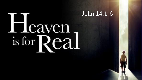# Heaven is for Real

John 14:1-6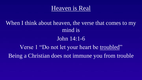

## When I think about heaven, the verse that comes to my mind is

#### John 14:1-6

Verse 1 "Do not let your heart be troubled" Being a Christian does not immune you from trouble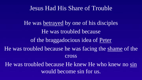#### Jesus Had His Share of Trouble

He was betrayed by one of his disciples He was troubled because of the braggadocious idea of Peter He was troubled because he was facing the shame of the cross

He was troubled because He knew He who knew no sin would become sin for us.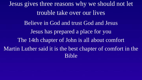Jesus gives three reasons why we should not let trouble take over our lives Believe in God and trust God and Jesus Jesus has prepared a place for you The 14th chapter of John is all about comfort Martin Luther said it is the best chapter of comfort in the Bible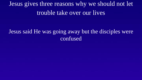Jesus gives three reasons why we should not let trouble take over our lives

### Jesus said He was going away but the disciples were confused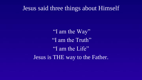#### Jesus said three things about Himself

"I am the Way" "I am the Truth" "I am the Life" Jesus is THE way to the Father.